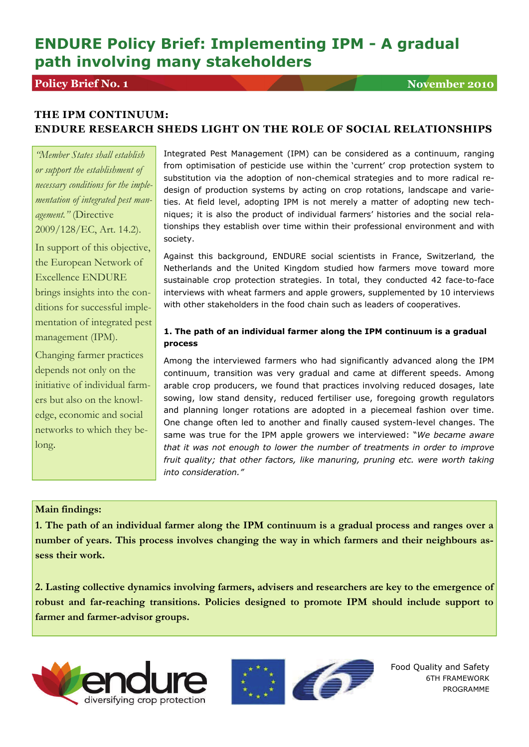# **ENDURE Policy Brief: Implementing IPM - A gradual path involving many stakeholders**

## **Policy Brief No. 1** November 2010

## **THE IPM CONTINUUM: ENDURE RESEARCH SHEDS LIGHT ON THE ROLE OF SOCIAL RELATIONSHIPS**

*"Member States shall establish or support the establishment of necessary conditions for the implementation of integrated pest management."* (Directive 2009/128/EC, Art. 14.2).

In support of this objective, the European Network of Excellence ENDURE brings insights into the conditions for successful implementation of integrated pest management (IPM).

Changing farmer practices depends not only on the initiative of individual farmers but also on the knowledge, economic and social networks to which they belong.

Integrated Pest Management (IPM) can be considered as a continuum, ranging from optimisation of pesticide use within the 'current' crop protection system to substitution via the adoption of non-chemical strategies and to more radical redesign of production systems by acting on crop rotations, landscape and varieties. At field level, adopting IPM is not merely a matter of adopting new techniques; it is also the product of individual farmers' histories and the social relationships they establish over time within their professional environment and with society.

Against this background, ENDURE social scientists in France, Switzerland*,* the Netherlands and the United Kingdom studied how farmers move toward more sustainable crop protection strategies. In total, they conducted 42 face-to-face interviews with wheat farmers and apple growers, supplemented by 10 interviews with other stakeholders in the food chain such as leaders of cooperatives.

#### **1. The path of an individual farmer along the IPM continuum is a gradual process**

Among the interviewed farmers who had significantly advanced along the IPM continuum, transition was very gradual and came at different speeds. Among arable crop producers, we found that practices involving reduced dosages, late sowing, low stand density, reduced fertiliser use, foregoing growth regulators and planning longer rotations are adopted in a piecemeal fashion over time. One change often led to another and finally caused system-level changes. The same was true for the IPM apple growers we interviewed: "*We became aware that it was not enough to lower the number of treatments in order to improve fruit quality; that other factors, like manuring, pruning etc. were worth taking into consideration."*

#### **Main findings:**

**1. The path of an individual farmer along the IPM continuum is a gradual process and ranges over a number of years. This process involves changing the way in which farmers and their neighbours assess their work.** 

**2. Lasting collective dynamics involving farmers, advisers and researchers are key to the emergence of robust and far-reaching transitions. Policies designed to promote IPM should include support to farmer and farmer-advisor groups.** 





Food Quality and Safety 6TH FRAMEWORK PROGRAMME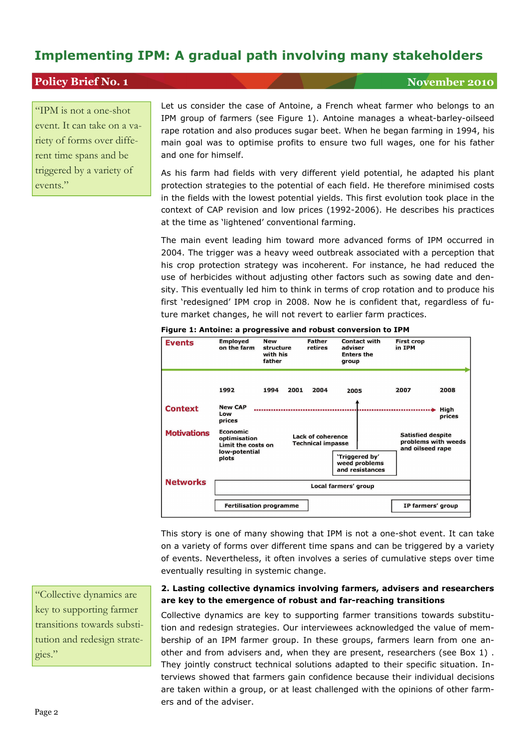## **Implementing IPM: A gradual path involving many stakeholders**

### **Policy Brief No. 1** November 2010

"IPM is not a one-shot event. It can take on a variety of forms over different time spans and be triggered by a variety of events."

Let us consider the case of Antoine, a French wheat farmer who belongs to an IPM group of farmers (see Figure 1). Antoine manages a wheat-barley-oilseed rape rotation and also produces sugar beet. When he began farming in 1994, his main goal was to optimise profits to ensure two full wages, one for his father and one for himself.

As his farm had fields with very different yield potential, he adapted his plant protection strategies to the potential of each field. He therefore minimised costs in the fields with the lowest potential yields. This first evolution took place in the context of CAP revision and low prices (1992-2006). He describes his practices at the time as 'lightened' conventional farming.

The main event leading him toward more advanced forms of IPM occurred in 2004. The trigger was a heavy weed outbreak associated with a perception that his crop protection strategy was incoherent. For instance, he had reduced the use of herbicides without adjusting other factors such as sowing date and density. This eventually led him to think in terms of crop rotation and to produce his first 'redesigned' IPM crop in 2008. Now he is confident that, regardless of future market changes, he will not revert to earlier farm practices.





This story is one of many showing that IPM is not a one-shot event. It can take on a variety of forms over different time spans and can be triggered by a variety of events. Nevertheless, it often involves a series of cumulative steps over time eventually resulting in systemic change.

#### **2. Lasting collective dynamics involving farmers, advisers and researchers are key to the emergence of robust and far-reaching transitions**

Collective dynamics are key to supporting farmer transitions towards substitution and redesign strategies. Our interviewees acknowledged the value of membership of an IPM farmer group. In these groups, farmers learn from one another and from advisers and, when they are present, researchers (see Box 1) . They jointly construct technical solutions adapted to their specific situation. Interviews showed that farmers gain confidence because their individual decisions are taken within a group, or at least challenged with the opinions of other farmers and of the adviser.

"Collective dynamics are key to supporting farmer transitions towards substitution and redesign strategies."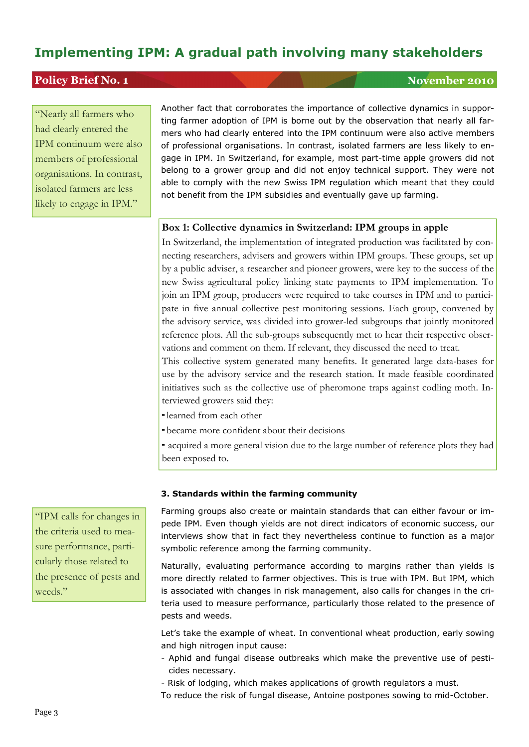## **Implementing IPM: A gradual path involving many stakeholders**

## **Policy Brief No. 1** November 2010

"Nearly all farmers who had clearly entered the IPM continuum were also members of professional organisations. In contrast, isolated farmers are less likely to engage in IPM."

Another fact that corroborates the importance of collective dynamics in supporting farmer adoption of IPM is borne out by the observation that nearly all farmers who had clearly entered into the IPM continuum were also active members of professional organisations. In contrast, isolated farmers are less likely to engage in IPM. In Switzerland, for example, most part-time apple growers did not belong to a grower group and did not enjoy technical support. They were not able to comply with the new Swiss IPM regulation which meant that they could not benefit from the IPM subsidies and eventually gave up farming.

#### **Box 1: Collective dynamics in Switzerland: IPM groups in apple**

In Switzerland, the implementation of integrated production was facilitated by connecting researchers, advisers and growers within IPM groups. These groups, set up by a public adviser, a researcher and pioneer growers, were key to the success of the new Swiss agricultural policy linking state payments to IPM implementation. To join an IPM group, producers were required to take courses in IPM and to participate in five annual collective pest monitoring sessions. Each group, convened by the advisory service, was divided into grower-led subgroups that jointly monitored reference plots. All the sub-groups subsequently met to hear their respective observations and comment on them. If relevant, they discussed the need to treat.

This collective system generated many benefits. It generated large data-bases for use by the advisory service and the research station. It made feasible coordinated initiatives such as the collective use of pheromone traps against codling moth. Interviewed growers said they:

- learned from each other
- became more confident about their decisions

- acquired a more general vision due to the large number of reference plots they had been exposed to.

#### **3. Standards within the farming community**

Farming groups also create or maintain standards that can either favour or impede IPM. Even though yields are not direct indicators of economic success, our interviews show that in fact they nevertheless continue to function as a major symbolic reference among the farming community.

Naturally, evaluating performance according to margins rather than yields is more directly related to farmer objectives. This is true with IPM. But IPM, which is associated with changes in risk management, also calls for changes in the criteria used to measure performance, particularly those related to the presence of pests and weeds.

Let's take the example of wheat. In conventional wheat production, early sowing and high nitrogen input cause:

- Aphid and fungal disease outbreaks which make the preventive use of pesticides necessary.
- Risk of lodging, which makes applications of growth regulators a must.

To reduce the risk of fungal disease, Antoine postpones sowing to mid-October.

"IPM calls for changes in the criteria used to measure performance, particularly those related to the presence of pests and weeds."